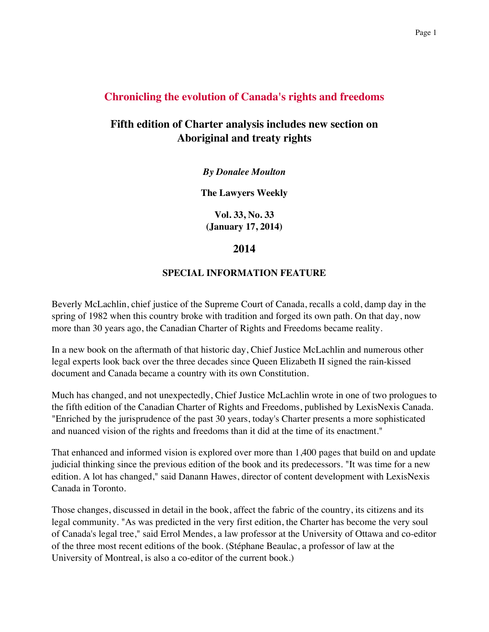## **Chronicling the evolution of Canada's rights and freedoms**

## **Fifth edition of Charter analysis includes new section on Aboriginal and treaty rights**

*By Donalee Moulton*

**The Lawyers Weekly**

**Vol. 33, No. 33 (January 17, 2014)**

## **2014**

## **SPECIAL INFORMATION FEATURE**

Beverly McLachlin, chief justice of the Supreme Court of Canada, recalls a cold, damp day in the spring of 1982 when this country broke with tradition and forged its own path. On that day, now more than 30 years ago, the Canadian Charter of Rights and Freedoms became reality.

In a new book on the aftermath of that historic day, Chief Justice McLachlin and numerous other legal experts look back over the three decades since Queen Elizabeth II signed the rain-kissed document and Canada became a country with its own Constitution.

Much has changed, and not unexpectedly, Chief Justice McLachlin wrote in one of two prologues to the fifth edition of the Canadian Charter of Rights and Freedoms, published by LexisNexis Canada. "Enriched by the jurisprudence of the past 30 years, today's Charter presents a more sophisticated and nuanced vision of the rights and freedoms than it did at the time of its enactment."

That enhanced and informed vision is explored over more than 1,400 pages that build on and update judicial thinking since the previous edition of the book and its predecessors. "It was time for a new edition. A lot has changed," said Danann Hawes, director of content development with LexisNexis Canada in Toronto.

Those changes, discussed in detail in the book, affect the fabric of the country, its citizens and its legal community. "As was predicted in the very first edition, the Charter has become the very soul of Canada's legal tree," said Errol Mendes, a law professor at the University of Ottawa and co-editor of the three most recent editions of the book. (Stéphane Beaulac, a professor of law at the University of Montreal, is also a co-editor of the current book.)